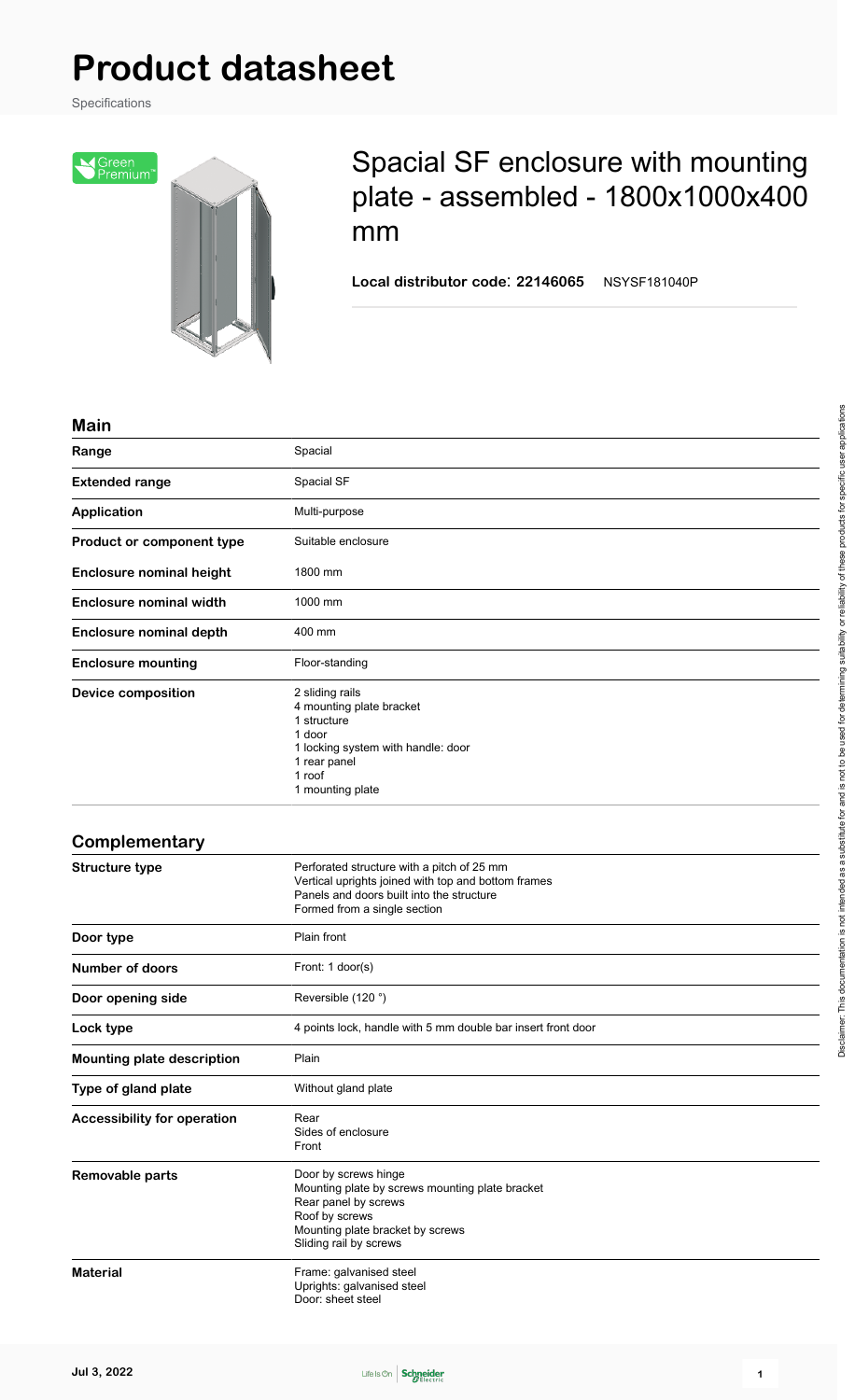# **Product datasheet**

Specifications



## Spacial SF enclosure with mounting plate - assembled - 1800x1000x400 mm

**Local distributor code**: **22146065** NSYSF181040P

#### **Main**

| Range                              | Spacial                                                                                                                                                                         |
|------------------------------------|---------------------------------------------------------------------------------------------------------------------------------------------------------------------------------|
| <b>Extended range</b>              | Spacial SF                                                                                                                                                                      |
| <b>Application</b>                 | Multi-purpose                                                                                                                                                                   |
| Product or component type          | Suitable enclosure                                                                                                                                                              |
| <b>Enclosure nominal height</b>    | 1800 mm                                                                                                                                                                         |
| <b>Enclosure nominal width</b>     | 1000 mm                                                                                                                                                                         |
| <b>Enclosure nominal depth</b>     | 400 mm                                                                                                                                                                          |
| <b>Enclosure mounting</b>          | Floor-standing                                                                                                                                                                  |
| <b>Device composition</b>          | 2 sliding rails<br>4 mounting plate bracket<br>1 structure<br>1 door<br>1 locking system with handle: door<br>1 rear panel<br>1 roof<br>1 mounting plate                        |
| Complementary                      |                                                                                                                                                                                 |
| <b>Structure type</b>              | Perforated structure with a pitch of 25 mm<br>Vertical uprights joined with top and bottom frames<br>Panels and doors built into the structure<br>Formed from a single section  |
| Door type                          | Plain front                                                                                                                                                                     |
| <b>Number of doors</b>             | Front: 1 door(s)                                                                                                                                                                |
| Door opening side                  | Reversible (120°)                                                                                                                                                               |
| Lock type                          | 4 points lock, handle with 5 mm double bar insert front door                                                                                                                    |
| <b>Mounting plate description</b>  | Plain                                                                                                                                                                           |
| Type of gland plate                | Without gland plate                                                                                                                                                             |
| <b>Accessibility for operation</b> | Rear<br>Sides of enclosure<br>Front                                                                                                                                             |
| Removable parts                    | Door by screws hinge<br>Mounting plate by screws mounting plate bracket<br>Rear panel by screws<br>Roof by screws<br>Mounting plate bracket by screws<br>Sliding rail by screws |
| <b>Material</b>                    | Frame: galvanised steel<br>Uprights: galvanised steel<br>Door: sheet steel                                                                                                      |